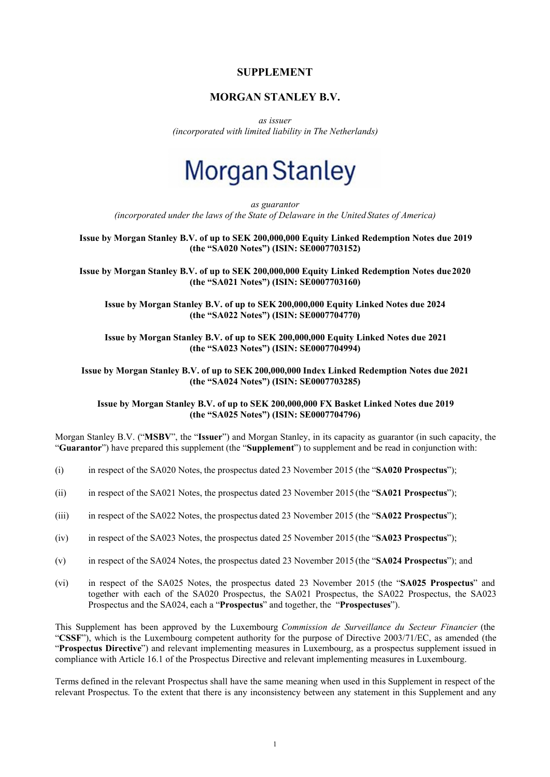### **SUPPLEMENT**

## **MORGAN STANLEY B.V.**

*as issuer (incorporated with limited liability in The Netherlands)*

# **Morgan Stanley**

*as guarantor (incorporated under the laws of the State of Delaware in the United States of America)*

**Issue by Morgan Stanley B.V. of up to SEK 200,000,000 Equity Linked Redemption Notes due 2019 (the "SA020 Notes") (ISIN: SE0007703152)**

**Issue by Morgan Stanley B.V. of up to SEK 200,000,000 Equity Linked Redemption Notes due 2020 (the "SA021 Notes") (ISIN: SE0007703160)**

**Issue by Morgan Stanley B.V. of up to SEK 200,000,000 Equity Linked Notes due 2024 (the "SA022 Notes") (ISIN: SE0007704770)**

**Issue by Morgan Stanley B.V. of up to SEK 200,000,000 Equity Linked Notes due 2021 (the "SA023 Notes") (ISIN: SE0007704994)**

**Issue by Morgan Stanley B.V. of up to SEK 200,000,000 Index Linked Redemption Notes due 2021 (the "SA024 Notes") (ISIN: SE0007703285)**

**Issue by Morgan Stanley B.V. of up to SEK 200,000,000 FX Basket Linked Notes due 2019 (the "SA025 Notes") (ISIN: SE0007704796)**

Morgan Stanley B.V. ("**MSBV**", the "**Issuer**") and Morgan Stanley, in its capacity as guarantor (in such capacity, the "**Guarantor**") have prepared this supplement (the "**Supplement**") to supplement and be read in conjunction with:

- (i) in respect of the SA020 Notes, the prospectus dated 23 November 2015 (the "**SA020 Prospectus**");
- (ii) in respect of the SA021 Notes, the prospectus dated 23 November 2015 (the "**SA021 Prospectus**");
- (iii) in respect of the SA022 Notes, the prospectus dated 23 November 2015 (the "**SA022 Prospectus**");
- (iv) in respect of the SA023 Notes, the prospectus dated 25 November 2015 (the "**SA023 Prospectus**");
- (v) in respect of the SA024 Notes, the prospectus dated 23 November 2015 (the "**SA024 Prospectus**"); and
- (vi) in respect of the SA025 Notes, the prospectus dated 23 November 2015 (the "**SA025 Prospectus**" and together with each of the SA020 Prospectus, the SA021 Prospectus, the SA022 Prospectus, the SA023 Prospectus and the SA024, each a "**Prospectus**" and together, the "**Prospectuses**").

This Supplement has been approved by the Luxembourg *Commission de Surveillance du Secteur Financier* (the "**CSSF**"), which is the Luxembourg competent authority for the purpose of Directive 2003/71/EC, as amended (the "**Prospectus Directive**") and relevant implementing measures in Luxembourg, as a prospectus supplement issued in compliance with Article 16.1 of the Prospectus Directive and relevant implementing measures in Luxembourg.

Terms defined in the relevant Prospectus shall have the same meaning when used in this Supplement in respect of the relevant Prospectus. To the extent that there is any inconsistency between any statement in this Supplement and any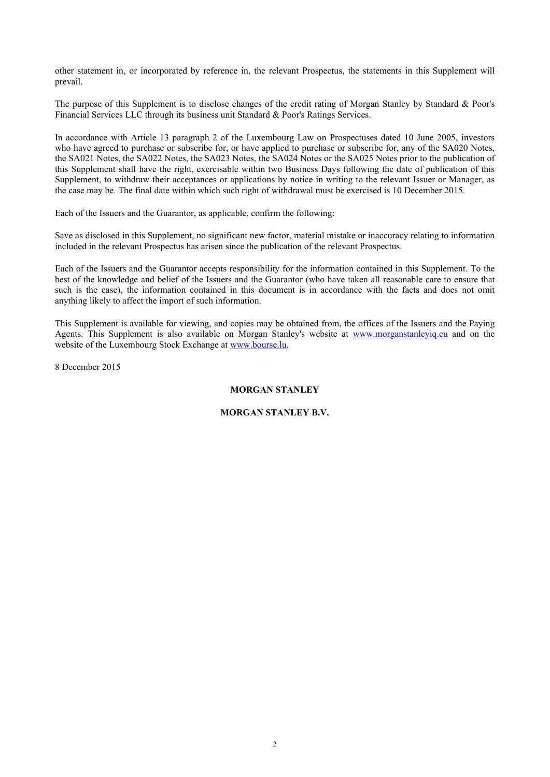other statement in, or incorporated by reference in, the relevant Prospectus, the statements in this Supplement will prevail.

The purpose of this Supplement is to disclose changes of the credit rating of Morgan Stanley by Standard & Poor's Financial Services LLC through its business unit Standard & Poor's Ratings Services.

In accordance with Article 13 paragraph 2 of the Luxembourg Law on Prospectuses dated 10 June 2005, investors who have agreed to purchase or subscribe for, or have applied to purchase or subscribe for, any of the SA020 Notes, the SA021 Notes, the SA022 Notes, the SA023 Notes, the SA024 Notes or the SA025 Notes prior to the publication of this Supplement shall have the right, exercisable within two Business Days following the date of publication of this Supplement, to withdraw their acceptances or applications by notice in writing to the relevant Issuer or Manager, as the case may be. The final date within which such right of withdrawal must be exercised is 10 December 2015.

Each of the Issuers and the Guarantor, as applicable, confirm the following:

Save as disclosed in this Supplement, no significant new factor, material mistake or inaccuracy relating to information included in the relevant Prospectus has arisen since the publication of the relevant Prospectus.

Each of the Issuers and the Guarantor accepts responsibility for the information contained in this Supplement. To the best of the knowledge and belief of the Issuers and the Guarantor (who have taken all reasonable care to ensure that such is the case), the information contained in this document is in accordance with the facts and does not omit anything likely to affect the import of such information.

This Supplement is available for viewing, and copies may be obtained from, the offices of the Issuers and the Paying Agents. This Supplement is also available on Morgan Stanley's website at www.morganstanleyiq.eu and on the website of the Luxembourg Stock Exchange at www.bourse.lu.

8 December 2015

### **MORGAN STANLEY**

#### **MORGAN STANLEY B.V.**